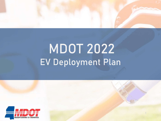

# MDOT 2022 EV Deployment Plan

1

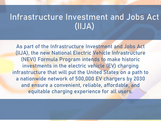### Infrastructure Investment and Jobs Act (IIJA)

As part of the Infrastructure Investment and Jobs Act (IIJA), the new National Electric Vehicle Infrastructure (NEVI) Formula Program intends to make historic investments in the electric vehicle (EV) charging infrastructure that will put the United States on a path to a nationwide network of 500,000 EV chargers by 2030 and ensure a convenient, reliable, affordable, and equitable charging experience for all users.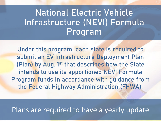### National Electric Vehicle Infrastructure (NEVI) Formula Program

Under this program, each state is required to submit an EV Infrastructure Deployment Plan (Plan) by Aug. 1<sup>st</sup> that describes how the State intends to use its apportioned NEVI Formula Program funds in accordance with guidance from the Federal Highway Administration (FHWA).

### Plans are required to have a yearly update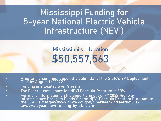### Mississippi Funding for 5-year National Electric Vehicle Infrastructure (NEVI)

### Mississippi's allocation \$50,557,563

- Program is contingent upon the submittal of the State's EV Deployment Plan by August 1st, 2022
- Funding is allocated over 5 years
- The Federal cost-share for NEVI Formula Program is 80%
- For more information on the apportionment of FY 2022 Highway Infrastructure Program Funds for the NEVI Formula Program Pursuant to the IIJA visit: <u>https://www.fhwa.dot.gov/bipartisan-infrastructure-</u><br>law/evs\_5year\_nevi\_funding\_by\_state.cfm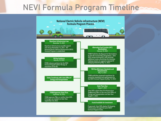### NEVI Formula Program Timeline

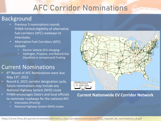### AFC Corridor Nominations

#### Background

- Previous 5 nominations rounds FHWA limited eligibility of alternative fuel corridors (AFC) roadways to Interstates
- Alternative Fuel Corridors (AFC) include:
	- Electric Vehicle (EV) charging
	- Hydrogen, Propane, and Natural Gas (liquefied or compressed) Fueling

#### Current Nominations

- 6<sup>th</sup> Round of AFC Nominations were due May 13th, 2022
- Round 6, 2022 corridor designation cycle, future nominations may include any National Highway System (NHS) route
- FHWA encourages State's and local officials to nominate roadways for the national AFC
	- Interstates (Priority)
	- National Highway System (NHS) routes



#### **Current Nationwide EV Corridor Network**

https://www.fhwa.dot.gov/environment/alternative\_fuel\_corridors/nominations/2022\_request\_for\_nominations\_r6.pdf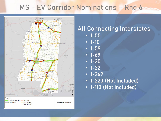### MS - EV Corridor Nominations – Rnd 6



### All Connecting Interstates

- I-55
- I-10
- I-59
- I-69
- I-20
- $-1-22$
- I-269
- I-220 (Not Included)
- I-110 (Not Included)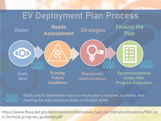### EV Deployment Plan Process





Public and/or Stakeholder input to ensure plan is inclusive, equitable, and meeting the state and local needs to the best ability

8 https://www.fhwa.dot.gov/environment/alternative\_fuel\_corridors/nominations/90d\_ne vi\_formula\_program\_guidance.pdf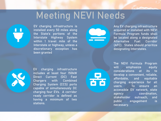### Meeting NEVI Needs



EV charging infrastructure is installed every 50 miles along the State's portions of the Interstate Highway System within 1 travel mile of the Interstate or highway, unless a discretionary exception has been granted



Any EV charging infrastructure acquired or installed with NEVI Formula Program funds shall be located along a designated Alternative Fuel Corridor (AFC). States should prioritize designating Interstates.



EV charging infrastructure includes at least four 150kW Direct Current (DC) Fast Chargers with Combined Charging System (CCS) ports capable of simultaneously DC charging four EVs. A corridor ready corridor is defined as having a minimum of two stations.



The NEVI Formula Program will emphasize equity considerations at its to develop a convenient, reliable, affordable, and equitable charging experience for all users. To ensure an accessible EV network, state agency coordination, stakeholder outreach, and public engagement is necessary.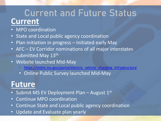### **Current** Current and Future Status

- MPO coordination
- State and Local public agency coordination
- Plan initiation in progress Initiated early May
- AFC EV Corridor nominations of all major interstates submitted May 13<sup>th</sup>
- Website launched Mid-May
	- [https://mdot.ms.gov/portal/electric\\_vehicle\\_charging\\_infrastructure](https://mdot.ms.gov/portal/electric_vehicle_charging_infrastructure)
	- Online Public Survey launched Mid-May

### **Future**

- Submit MS EV Deployment Plan August 1st
- Continue MPO coordination
- Continue State and Local public agency coordination
- Update and Evaluate plan yearly